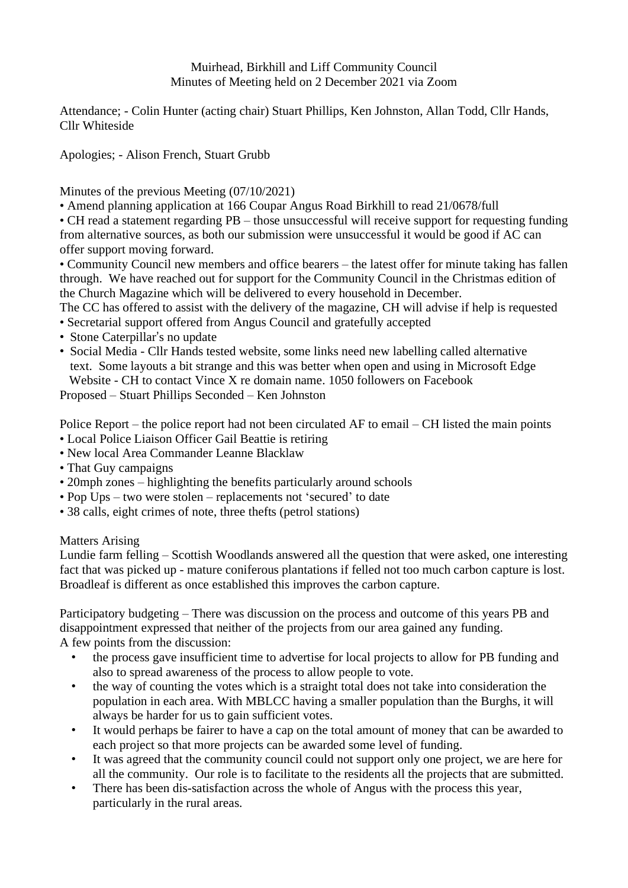## Muirhead, Birkhill and Liff Community Council Minutes of Meeting held on 2 December 2021 via Zoom

Attendance; - Colin Hunter (acting chair) Stuart Phillips, Ken Johnston, Allan Todd, Cllr Hands, Cllr Whiteside

Apologies; - Alison French, Stuart Grubb

Minutes of the previous Meeting (07/10/2021)

• Amend planning application at 166 Coupar Angus Road Birkhill to read 21/0678/full

• CH read a statement regarding PB – those unsuccessful will receive support for requesting funding from alternative sources, as both our submission were unsuccessful it would be good if AC can offer support moving forward.

• Community Council new members and office bearers – the latest offer for minute taking has fallen through. We have reached out for support for the Community Council in the Christmas edition of the Church Magazine which will be delivered to every household in December.

The CC has offered to assist with the delivery of the magazine, CH will advise if help is requested

- Secretarial support offered from Angus Council and gratefully accepted
- Stone Caterpillar's no update
- Social Media Cllr Hands tested website, some links need new labelling called alternative text. Some layouts a bit strange and this was better when open and using in Microsoft Edge Website - CH to contact Vince X re domain name. 1050 followers on Facebook

Proposed – Stuart Phillips Seconded – Ken Johnston

Police Report – the police report had not been circulated AF to email – CH listed the main points • Local Police Liaison Officer Gail Beattie is retiring

- New local Area Commander Leanne Blacklaw
- That Guy campaigns
- 20mph zones highlighting the benefits particularly around schools
- Pop Ups two were stolen replacements not 'secured' to date
- 38 calls, eight crimes of note, three thefts (petrol stations)

Matters Arising

Lundie farm felling – Scottish Woodlands answered all the question that were asked, one interesting fact that was picked up - mature coniferous plantations if felled not too much carbon capture is lost. Broadleaf is different as once established this improves the carbon capture.

Participatory budgeting – There was discussion on the process and outcome of this years PB and disappointment expressed that neither of the projects from our area gained any funding. A few points from the discussion:

- the process gave insufficient time to advertise for local projects to allow for PB funding and also to spread awareness of the process to allow people to vote.
- the way of counting the votes which is a straight total does not take into consideration the population in each area. With MBLCC having a smaller population than the Burghs, it will always be harder for us to gain sufficient votes.
- It would perhaps be fairer to have a cap on the total amount of money that can be awarded to each project so that more projects can be awarded some level of funding.
- It was agreed that the community council could not support only one project, we are here for all the community. Our role is to facilitate to the residents all the projects that are submitted.
- There has been dis-satisfaction across the whole of Angus with the process this year, particularly in the rural areas.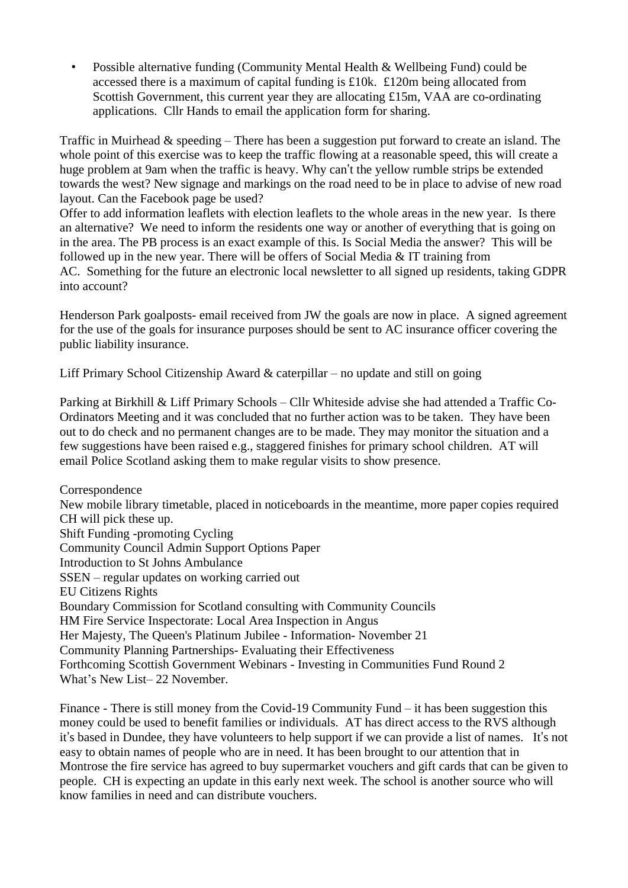• Possible alternative funding (Community Mental Health & Wellbeing Fund) could be accessed there is a maximum of capital funding is £10k. £120m being allocated from Scottish Government, this current year they are allocating £15m, VAA are co-ordinating applications. Cllr Hands to email the application form for sharing.

Traffic in Muirhead & speeding – There has been a suggestion put forward to create an island. The whole point of this exercise was to keep the traffic flowing at a reasonable speed, this will create a huge problem at 9am when the traffic is heavy. Why can't the yellow rumble strips be extended towards the west? New signage and markings on the road need to be in place to advise of new road layout. Can the Facebook page be used?

Offer to add information leaflets with election leaflets to the whole areas in the new year. Is there an alternative? We need to inform the residents one way or another of everything that is going on in the area. The PB process is an exact example of this. Is Social Media the answer? This will be followed up in the new year. There will be offers of Social Media  $&IT$  training from AC. Something for the future an electronic local newsletter to all signed up residents, taking GDPR into account?

Henderson Park goalposts- email received from JW the goals are now in place. A signed agreement for the use of the goals for insurance purposes should be sent to AC insurance officer covering the public liability insurance.

Liff Primary School Citizenship Award & caterpillar – no update and still on going

Parking at Birkhill & Liff Primary Schools – Cllr Whiteside advise she had attended a Traffic Co-Ordinators Meeting and it was concluded that no further action was to be taken. They have been out to do check and no permanent changes are to be made. They may monitor the situation and a few suggestions have been raised e.g., staggered finishes for primary school children. AT will email Police Scotland asking them to make regular visits to show presence.

Correspondence New mobile library timetable, placed in noticeboards in the meantime, more paper copies required CH will pick these up. Shift Funding -promoting Cycling Community Council Admin Support Options Paper Introduction to St Johns Ambulance SSEN – regular updates on working carried out EU Citizens Rights Boundary Commission for Scotland consulting with Community Councils HM Fire Service Inspectorate: Local Area Inspection in Angus Her Majesty, The Queen's Platinum Jubilee - Information- November 21 Community Planning Partnerships- Evaluating their Effectiveness Forthcoming Scottish Government Webinars - Investing in Communities Fund Round 2 What's New List– 22 November.

Finance - There is still money from the Covid-19 Community Fund – it has been suggestion this money could be used to benefit families or individuals. AT has direct access to the RVS although it's based in Dundee, they have volunteers to help support if we can provide a list of names. It's not easy to obtain names of people who are in need. It has been brought to our attention that in Montrose the fire service has agreed to buy supermarket vouchers and gift cards that can be given to people. CH is expecting an update in this early next week. The school is another source who will know families in need and can distribute vouchers.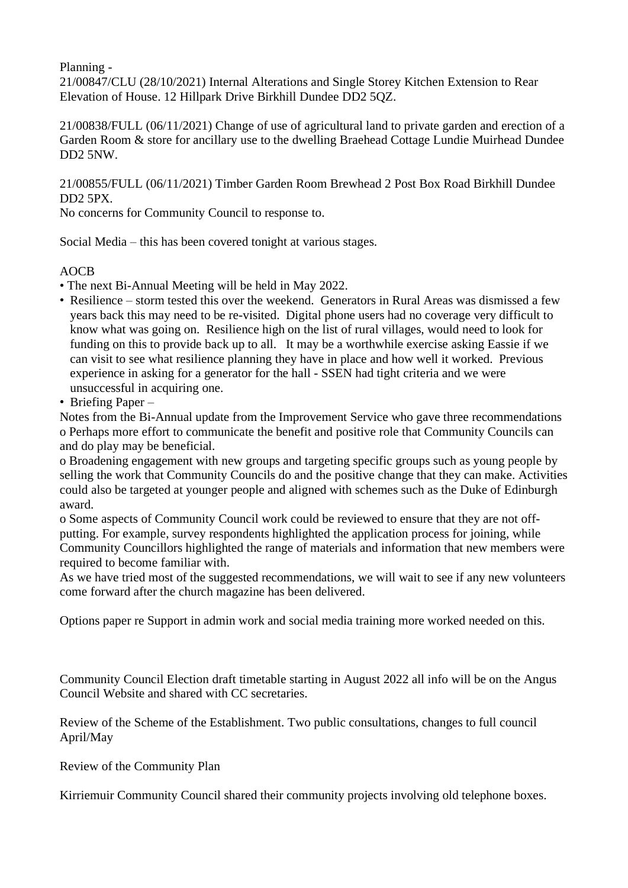Planning -

21/00847/CLU (28/10/2021) Internal Alterations and Single Storey Kitchen Extension to Rear Elevation of House. 12 Hillpark Drive Birkhill Dundee DD2 5QZ.

21/00838/FULL (06/11/2021) Change of use of agricultural land to private garden and erection of a Garden Room & store for ancillary use to the dwelling Braehead Cottage Lundie Muirhead Dundee DD2 5NW.

21/00855/FULL (06/11/2021) Timber Garden Room Brewhead 2 Post Box Road Birkhill Dundee DD2 5PX.

No concerns for Community Council to response to.

Social Media – this has been covered tonight at various stages.

## AOCB

- The next Bi-Annual Meeting will be held in May 2022.
- Resilience storm tested this over the weekend. Generators in Rural Areas was dismissed a few years back this may need to be re-visited. Digital phone users had no coverage very difficult to know what was going on. Resilience high on the list of rural villages, would need to look for funding on this to provide back up to all. It may be a worthwhile exercise asking Eassie if we can visit to see what resilience planning they have in place and how well it worked. Previous experience in asking for a generator for the hall - SSEN had tight criteria and we were unsuccessful in acquiring one.
- Briefing Paper –

Notes from the Bi-Annual update from the Improvement Service who gave three recommendations o Perhaps more effort to communicate the benefit and positive role that Community Councils can and do play may be beneficial.

o Broadening engagement with new groups and targeting specific groups such as young people by selling the work that Community Councils do and the positive change that they can make. Activities could also be targeted at younger people and aligned with schemes such as the Duke of Edinburgh award.

o Some aspects of Community Council work could be reviewed to ensure that they are not offputting. For example, survey respondents highlighted the application process for joining, while Community Councillors highlighted the range of materials and information that new members were required to become familiar with.

As we have tried most of the suggested recommendations, we will wait to see if any new volunteers come forward after the church magazine has been delivered.

Options paper re Support in admin work and social media training more worked needed on this.

Community Council Election draft timetable starting in August 2022 all info will be on the Angus Council Website and shared with CC secretaries.

Review of the Scheme of the Establishment. Two public consultations, changes to full council April/May

Review of the Community Plan

Kirriemuir Community Council shared their community projects involving old telephone boxes.